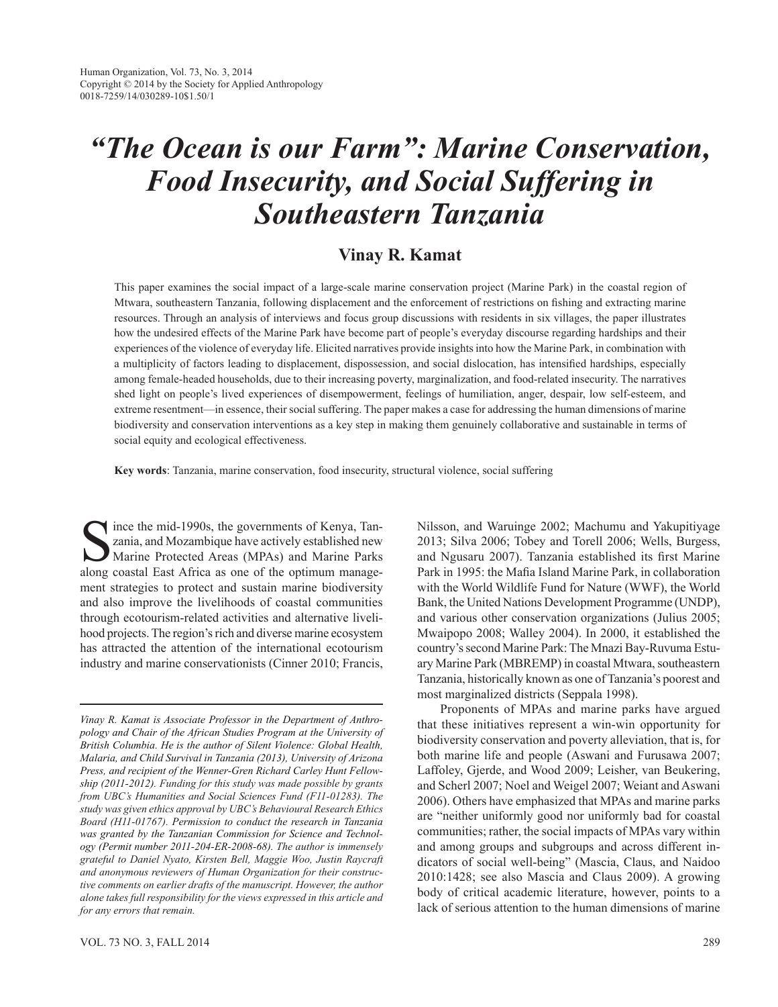# *"The Ocean is our Farm": Marine Conservation, Food Insecurity, and Social Suffering in Southeastern Tanzania*

# **Vinay R. Kamat**

This paper examines the social impact of a large-scale marine conservation project (Marine Park) in the coastal region of Mtwara, southeastern Tanzania, following displacement and the enforcement of restrictions on fishing and extracting marine resources. Through an analysis of interviews and focus group discussions with residents in six villages, the paper illustrates how the undesired effects of the Marine Park have become part of people's everyday discourse regarding hardships and their experiences of the violence of everyday life. Elicited narratives provide insights into how the Marine Park, in combination with a multiplicity of factors leading to displacement, dispossession, and social dislocation, has intensified hardships, especially among female-headed households, due to their increasing poverty, marginalization, and food-related insecurity. The narratives shed light on people's lived experiences of disempowerment, feelings of humiliation, anger, despair, low self-esteem, and extreme resentment—in essence, their social suffering. The paper makes a case for addressing the human dimensions of marine biodiversity and conservation interventions as a key step in making them genuinely collaborative and sustainable in terms of social equity and ecological effectiveness.

**Key words**: Tanzania, marine conservation, food insecurity, structural violence, social suffering

Since the mid-1990s, the governments of Kenya, Tan-<br>
zania, and Mozambique have actively established new<br>
Marine Protected Areas (MPAs) and Marine Parks<br>
along coastal East Africa as one of the optimum managezania, and Mozambique have actively established new Marine Protected Areas (MPAs) and Marine Parks along coastal East Africa as one of the optimum management strategies to protect and sustain marine biodiversity and also improve the livelihoods of coastal communities through ecotourism-related activities and alternative livelihood projects. The region's rich and diverse marine ecosystem has attracted the attention of the international ecotourism industry and marine conservationists (Cinner 2010; Francis,

Nilsson, and Waruinge 2002; Machumu and Yakupitiyage 2013; Silva 2006; Tobey and Torell 2006; Wells, Burgess, and Ngusaru 2007). Tanzania established its first Marine Park in 1995: the Mafia Island Marine Park, in collaboration with the World Wildlife Fund for Nature (WWF), the World Bank, the United Nations Development Programme (UNDP), and various other conservation organizations (Julius 2005; Mwaipopo 2008; Walley 2004). In 2000, it established the country's second Marine Park: The Mnazi Bay-Ruvuma Estuary Marine Park (MBREMP) in coastal Mtwara, southeastern Tanzania, historically known as one of Tanzania's poorest and most marginalized districts (Seppala 1998).

Proponents of MPAs and marine parks have argued that these initiatives represent a win-win opportunity for biodiversity conservation and poverty alleviation, that is, for both marine life and people (Aswani and Furusawa 2007; Laffoley, Gjerde, and Wood 2009; Leisher, van Beukering, and Scherl 2007; Noel and Weigel 2007; Weiant and Aswani 2006). Others have emphasized that MPAs and marine parks are "neither uniformly good nor uniformly bad for coastal communities; rather, the social impacts of MPAs vary within and among groups and subgroups and across different indicators of social well-being" (Mascia, Claus, and Naidoo 2010:1428; see also Mascia and Claus 2009). A growing body of critical academic literature, however, points to a lack of serious attention to the human dimensions of marine

*Vinay R. Kamat is Associate Professor in the Department of Anthropology and Chair of the African Studies Program at the University of British Columbia. He is the author of Silent Violence: Global Health, Malaria, and Child Survival in Tanzania (2013), University of Arizona Press, and recipient of the Wenner-Gren Richard Carley Hunt Fellowship (2011-2012). Funding for this study was made possible by grants from UBC's Humanities and Social Sciences Fund (F11-01283). The study was given ethics approval by UBC's Behavioural Research Ethics Board (H11-01767). Permission to conduct the research in Tanzania was granted by the Tanzanian Commission for Science and Technology (Permit number 2011-204-ER-2008-68). The author is immensely grateful to Daniel Nyato, Kirsten Bell, Maggie Woo, Justin Raycraft and anonymous reviewers of Human Organization for their constructive comments on earlier drafts of the manuscript. However, the author alone takes full responsibility for the views expressed in this article and for any errors that remain.*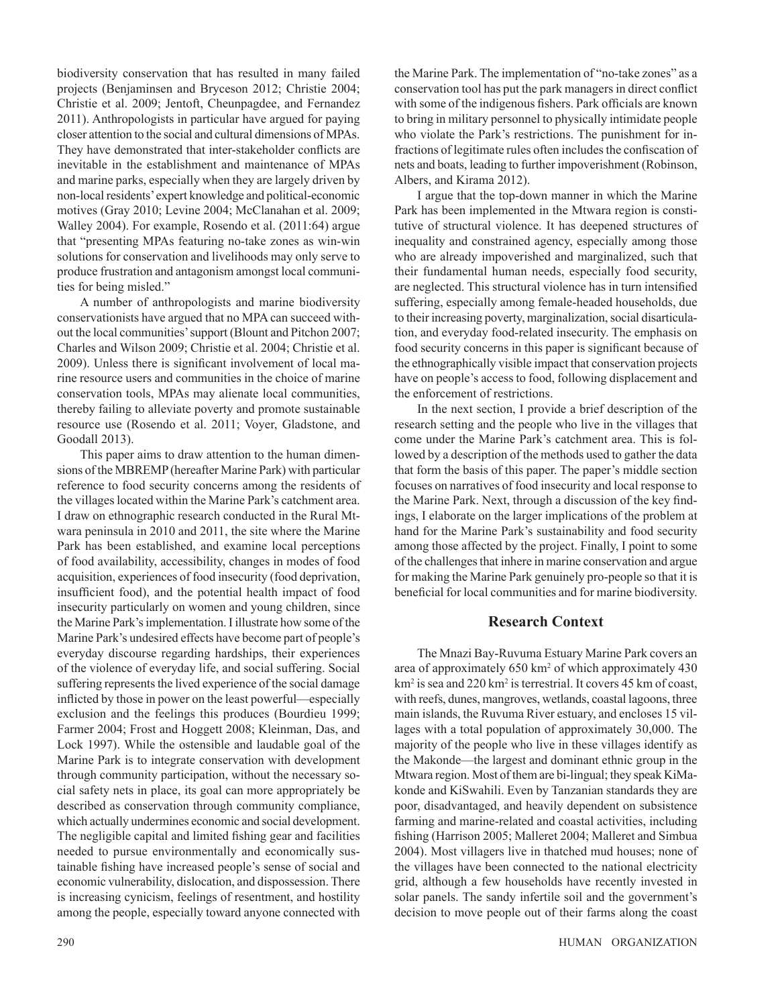biodiversity conservation that has resulted in many failed projects (Benjaminsen and Bryceson 2012; Christie 2004; Christie et al. 2009; Jentoft, Cheunpagdee, and Fernandez 2011). Anthropologists in particular have argued for paying closer attention to the social and cultural dimensions of MPAs. They have demonstrated that inter-stakeholder conflicts are inevitable in the establishment and maintenance of MPAs and marine parks, especially when they are largely driven by non-local residents' expert knowledge and political-economic motives (Gray 2010; Levine 2004; McClanahan et al. 2009; Walley 2004). For example, Rosendo et al. (2011:64) argue that "presenting MPAs featuring no-take zones as win-win solutions for conservation and livelihoods may only serve to produce frustration and antagonism amongst local communities for being misled."

A number of anthropologists and marine biodiversity conservationists have argued that no MPA can succeed without the local communities' support (Blount and Pitchon 2007; Charles and Wilson 2009; Christie et al. 2004; Christie et al. 2009). Unless there is significant involvement of local marine resource users and communities in the choice of marine conservation tools, MPAs may alienate local communities, thereby failing to alleviate poverty and promote sustainable resource use (Rosendo et al. 2011; Voyer, Gladstone, and Goodall 2013).

This paper aims to draw attention to the human dimensions of the MBREMP (hereafter Marine Park) with particular reference to food security concerns among the residents of the villages located within the Marine Park's catchment area. I draw on ethnographic research conducted in the Rural Mtwara peninsula in 2010 and 2011, the site where the Marine Park has been established, and examine local perceptions of food availability, accessibility, changes in modes of food acquisition, experiences of food insecurity (food deprivation, insufficient food), and the potential health impact of food insecurity particularly on women and young children, since the Marine Park's implementation. I illustrate how some of the Marine Park's undesired effects have become part of people's everyday discourse regarding hardships, their experiences of the violence of everyday life, and social suffering. Social suffering represents the lived experience of the social damage inflicted by those in power on the least powerful—especially exclusion and the feelings this produces (Bourdieu 1999; Farmer 2004; Frost and Hoggett 2008; Kleinman, Das, and Lock 1997). While the ostensible and laudable goal of the Marine Park is to integrate conservation with development through community participation, without the necessary social safety nets in place, its goal can more appropriately be described as conservation through community compliance, which actually undermines economic and social development. The negligible capital and limited fishing gear and facilities needed to pursue environmentally and economically sustainable fishing have increased people's sense of social and economic vulnerability, dislocation, and dispossession. There is increasing cynicism, feelings of resentment, and hostility among the people, especially toward anyone connected with

the Marine Park. The implementation of "no-take zones" as a conservation tool has put the park managers in direct conflict with some of the indigenous fishers. Park officials are known to bring in military personnel to physically intimidate people who violate the Park's restrictions. The punishment for infractions of legitimate rules often includes the confiscation of nets and boats, leading to further impoverishment (Robinson, Albers, and Kirama 2012).

I argue that the top-down manner in which the Marine Park has been implemented in the Mtwara region is constitutive of structural violence. It has deepened structures of inequality and constrained agency, especially among those who are already impoverished and marginalized, such that their fundamental human needs, especially food security, are neglected. This structural violence has in turn intensified suffering, especially among female-headed households, due to their increasing poverty, marginalization, social disarticulation, and everyday food-related insecurity. The emphasis on food security concerns in this paper is significant because of the ethnographically visible impact that conservation projects have on people's access to food, following displacement and the enforcement of restrictions.

In the next section, I provide a brief description of the research setting and the people who live in the villages that come under the Marine Park's catchment area. This is followed by a description of the methods used to gather the data that form the basis of this paper. The paper's middle section focuses on narratives of food insecurity and local response to the Marine Park. Next, through a discussion of the key findings, I elaborate on the larger implications of the problem at hand for the Marine Park's sustainability and food security among those affected by the project. Finally, I point to some of the challenges that inhere in marine conservation and argue for making the Marine Park genuinely pro-people so that it is beneficial for local communities and for marine biodiversity.

## **Research Context**

The Mnazi Bay-Ruvuma Estuary Marine Park covers an area of approximately 650 km<sup>2</sup> of which approximately 430 km<sup>2</sup> is sea and 220 km<sup>2</sup> is terrestrial. It covers 45 km of coast, with reefs, dunes, mangroves, wetlands, coastal lagoons, three main islands, the Ruvuma River estuary, and encloses 15 villages with a total population of approximately 30,000. The majority of the people who live in these villages identify as the Makonde—the largest and dominant ethnic group in the Mtwara region. Most of them are bi-lingual; they speak KiMakonde and KiSwahili. Even by Tanzanian standards they are poor, disadvantaged, and heavily dependent on subsistence farming and marine-related and coastal activities, including fishing (Harrison 2005; Malleret 2004; Malleret and Simbua 2004). Most villagers live in thatched mud houses; none of the villages have been connected to the national electricity grid, although a few households have recently invested in solar panels. The sandy infertile soil and the government's decision to move people out of their farms along the coast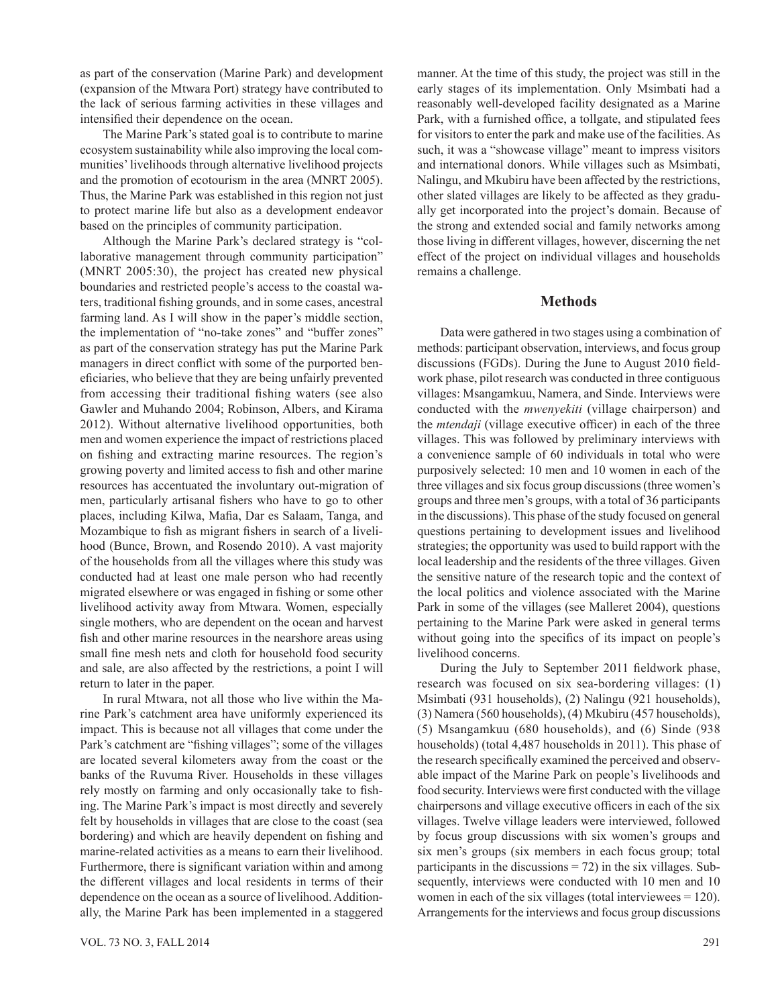as part of the conservation (Marine Park) and development (expansion of the Mtwara Port) strategy have contributed to the lack of serious farming activities in these villages and intensified their dependence on the ocean.

The Marine Park's stated goal is to contribute to marine ecosystem sustainability while also improving the local communities' livelihoods through alternative livelihood projects and the promotion of ecotourism in the area (MNRT 2005). Thus, the Marine Park was established in this region not just to protect marine life but also as a development endeavor based on the principles of community participation.

Although the Marine Park's declared strategy is "collaborative management through community participation" (MNRT 2005:30), the project has created new physical boundaries and restricted people's access to the coastal waters, traditional fishing grounds, and in some cases, ancestral farming land. As I will show in the paper's middle section, the implementation of "no-take zones" and "buffer zones" as part of the conservation strategy has put the Marine Park managers in direct conflict with some of the purported beneficiaries, who believe that they are being unfairly prevented from accessing their traditional fishing waters (see also Gawler and Muhando 2004; Robinson, Albers, and Kirama 2012). Without alternative livelihood opportunities, both men and women experience the impact of restrictions placed on fishing and extracting marine resources. The region's growing poverty and limited access to fish and other marine resources has accentuated the involuntary out-migration of men, particularly artisanal fishers who have to go to other places, including Kilwa, Mafia, Dar es Salaam, Tanga, and Mozambique to fish as migrant fishers in search of a livelihood (Bunce, Brown, and Rosendo 2010). A vast majority of the households from all the villages where this study was conducted had at least one male person who had recently migrated elsewhere or was engaged in fishing or some other livelihood activity away from Mtwara. Women, especially single mothers, who are dependent on the ocean and harvest fish and other marine resources in the nearshore areas using small fine mesh nets and cloth for household food security and sale, are also affected by the restrictions, a point I will return to later in the paper.

In rural Mtwara, not all those who live within the Marine Park's catchment area have uniformly experienced its impact. This is because not all villages that come under the Park's catchment are "fishing villages"; some of the villages are located several kilometers away from the coast or the banks of the Ruvuma River. Households in these villages rely mostly on farming and only occasionally take to fishing. The Marine Park's impact is most directly and severely felt by households in villages that are close to the coast (sea bordering) and which are heavily dependent on fishing and marine-related activities as a means to earn their livelihood. Furthermore, there is significant variation within and among the different villages and local residents in terms of their dependence on the ocean as a source of livelihood. Additionally, the Marine Park has been implemented in a staggered manner. At the time of this study, the project was still in the early stages of its implementation. Only Msimbati had a reasonably well-developed facility designated as a Marine Park, with a furnished office, a tollgate, and stipulated fees for visitors to enter the park and make use of the facilities. As such, it was a "showcase village" meant to impress visitors and international donors. While villages such as Msimbati, Nalingu, and Mkubiru have been affected by the restrictions, other slated villages are likely to be affected as they gradually get incorporated into the project's domain. Because of the strong and extended social and family networks among those living in different villages, however, discerning the net effect of the project on individual villages and households remains a challenge.

#### **Methods**

Data were gathered in two stages using a combination of methods: participant observation, interviews, and focus group discussions (FGDs). During the June to August 2010 fieldwork phase, pilot research was conducted in three contiguous villages: Msangamkuu, Namera, and Sinde. Interviews were conducted with the *mwenyekiti* (village chairperson) and the *mtendaji* (village executive officer) in each of the three villages. This was followed by preliminary interviews with a convenience sample of 60 individuals in total who were purposively selected: 10 men and 10 women in each of the three villages and six focus group discussions (three women's groups and three men's groups, with a total of 36 participants in the discussions). This phase of the study focused on general questions pertaining to development issues and livelihood strategies; the opportunity was used to build rapport with the local leadership and the residents of the three villages. Given the sensitive nature of the research topic and the context of the local politics and violence associated with the Marine Park in some of the villages (see Malleret 2004), questions pertaining to the Marine Park were asked in general terms without going into the specifics of its impact on people's livelihood concerns.

During the July to September 2011 fieldwork phase, research was focused on six sea-bordering villages: (1) Msimbati (931 households), (2) Nalingu (921 households), (3) Namera (560 households), (4) Mkubiru (457 households), (5) Msangamkuu (680 households), and (6) Sinde (938 households) (total 4,487 households in 2011). This phase of the research specifically examined the perceived and observable impact of the Marine Park on people's livelihoods and food security. Interviews were first conducted with the village chairpersons and village executive officers in each of the six villages. Twelve village leaders were interviewed, followed by focus group discussions with six women's groups and six men's groups (six members in each focus group; total participants in the discussions = 72) in the six villages. Subsequently, interviews were conducted with 10 men and 10 women in each of the six villages (total interviewees = 120). Arrangements for the interviews and focus group discussions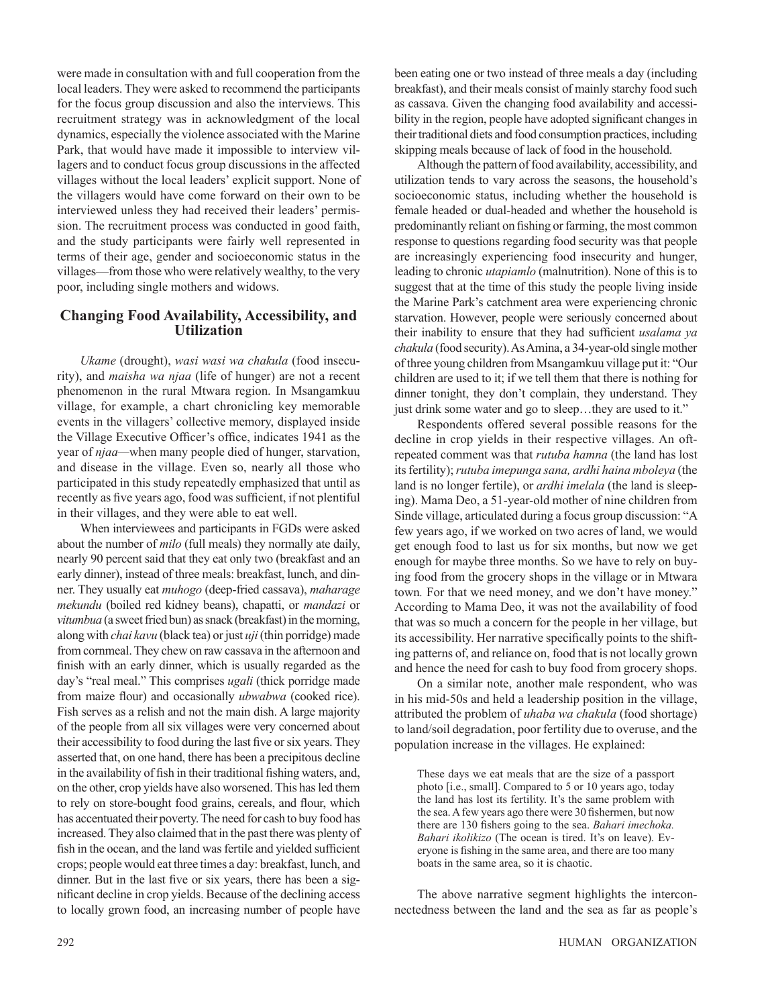were made in consultation with and full cooperation from the local leaders. They were asked to recommend the participants for the focus group discussion and also the interviews. This recruitment strategy was in acknowledgment of the local dynamics, especially the violence associated with the Marine Park, that would have made it impossible to interview villagers and to conduct focus group discussions in the affected villages without the local leaders' explicit support. None of the villagers would have come forward on their own to be interviewed unless they had received their leaders' permission. The recruitment process was conducted in good faith, and the study participants were fairly well represented in terms of their age, gender and socioeconomic status in the villages—from those who were relatively wealthy, to the very poor, including single mothers and widows.

## **Changing Food Availability, Accessibility, and Utilization**

*Ukame* (drought), *wasi wasi wa chakula* (food insecurity), and *maisha wa njaa* (life of hunger) are not a recent phenomenon in the rural Mtwara region. In Msangamkuu village, for example, a chart chronicling key memorable events in the villagers' collective memory, displayed inside the Village Executive Officer's office, indicates 1941 as the year of *njaa—*when many people died of hunger, starvation, and disease in the village. Even so, nearly all those who participated in this study repeatedly emphasized that until as recently as five years ago, food was sufficient, if not plentiful in their villages, and they were able to eat well.

When interviewees and participants in FGDs were asked about the number of *milo* (full meals) they normally ate daily, nearly 90 percent said that they eat only two (breakfast and an early dinner), instead of three meals: breakfast, lunch, and dinner. They usually eat *muhogo* (deep-fried cassava), *maharage mekundu* (boiled red kidney beans), chapatti, or *mandazi* or *vitumbua* (a sweet fried bun) as snack (breakfast) in the morning, along with *chai kavu* (black tea) or just *uji* (thin porridge) made from cornmeal. They chew on raw cassava in the afternoon and finish with an early dinner, which is usually regarded as the day's "real meal." This comprises *ugali* (thick porridge made from maize flour) and occasionally *ubwabwa* (cooked rice). Fish serves as a relish and not the main dish. A large majority of the people from all six villages were very concerned about their accessibility to food during the last five or six years. They asserted that, on one hand, there has been a precipitous decline in the availability of fish in their traditional fishing waters, and, on the other, crop yields have also worsened. This has led them to rely on store-bought food grains, cereals, and flour, which has accentuated their poverty. The need for cash to buy food has increased. They also claimed that in the past there was plenty of fish in the ocean, and the land was fertile and yielded sufficient crops; people would eat three times a day: breakfast, lunch, and dinner. But in the last five or six years, there has been a significant decline in crop yields. Because of the declining access to locally grown food, an increasing number of people have

been eating one or two instead of three meals a day (including breakfast), and their meals consist of mainly starchy food such as cassava. Given the changing food availability and accessibility in the region, people have adopted significant changes in their traditional diets and food consumption practices, including skipping meals because of lack of food in the household.

Although the pattern of food availability, accessibility, and utilization tends to vary across the seasons, the household's socioeconomic status, including whether the household is female headed or dual-headed and whether the household is predominantly reliant on fishing or farming, the most common response to questions regarding food security was that people are increasingly experiencing food insecurity and hunger, leading to chronic *utapiamlo* (malnutrition). None of this is to suggest that at the time of this study the people living inside the Marine Park's catchment area were experiencing chronic starvation. However, people were seriously concerned about their inability to ensure that they had sufficient *usalama ya chakula* (food security). As Amina, a 34-year-old single mother of three young children from Msangamkuu village put it: "Our children are used to it; if we tell them that there is nothing for dinner tonight, they don't complain, they understand. They just drink some water and go to sleep…they are used to it."

Respondents offered several possible reasons for the decline in crop yields in their respective villages. An oftrepeated comment was that *rutuba hamna* (the land has lost its fertility); *rutuba imepunga sana, ardhi haina mboleya* (the land is no longer fertile), or *ardhi imelala* (the land is sleeping). Mama Deo, a 51-year-old mother of nine children from Sinde village, articulated during a focus group discussion: "A few years ago, if we worked on two acres of land, we would get enough food to last us for six months, but now we get enough for maybe three months. So we have to rely on buying food from the grocery shops in the village or in Mtwara town. For that we need money, and we don't have money." According to Mama Deo, it was not the availability of food that was so much a concern for the people in her village, but its accessibility. Her narrative specifically points to the shifting patterns of, and reliance on, food that is not locally grown and hence the need for cash to buy food from grocery shops.

On a similar note, another male respondent, who was in his mid-50s and held a leadership position in the village, attributed the problem of *uhaba wa chakula* (food shortage) to land/soil degradation, poor fertility due to overuse, and the population increase in the villages. He explained:

These days we eat meals that are the size of a passport photo [i.e., small]. Compared to 5 or 10 years ago, today the land has lost its fertility. It's the same problem with the sea. A few years ago there were 30 fishermen, but now there are 130 fishers going to the sea. *Bahari imechoka. Bahari ikolikizo* (The ocean is tired. It's on leave). Everyone is fishing in the same area, and there are too many boats in the same area, so it is chaotic.

The above narrative segment highlights the interconnectedness between the land and the sea as far as people's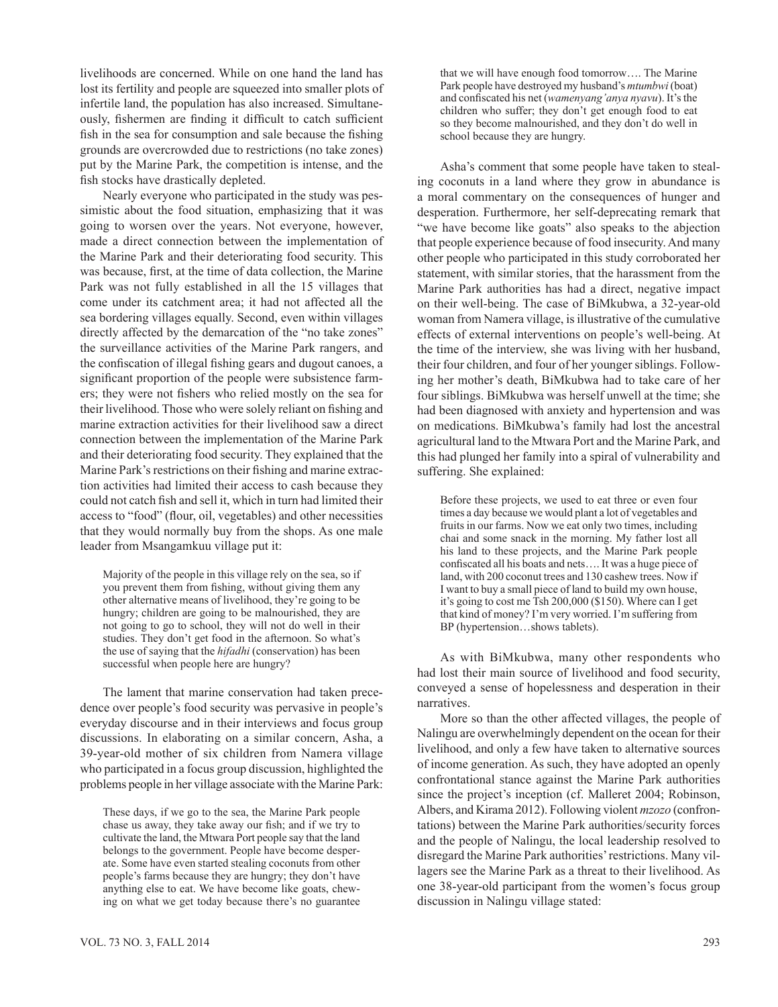livelihoods are concerned. While on one hand the land has lost its fertility and people are squeezed into smaller plots of infertile land, the population has also increased. Simultaneously, fishermen are finding it difficult to catch sufficient fish in the sea for consumption and sale because the fishing grounds are overcrowded due to restrictions (no take zones) put by the Marine Park, the competition is intense, and the fish stocks have drastically depleted.

Nearly everyone who participated in the study was pessimistic about the food situation, emphasizing that it was going to worsen over the years. Not everyone, however, made a direct connection between the implementation of the Marine Park and their deteriorating food security. This was because, first, at the time of data collection, the Marine Park was not fully established in all the 15 villages that come under its catchment area; it had not affected all the sea bordering villages equally. Second, even within villages directly affected by the demarcation of the "no take zones" the surveillance activities of the Marine Park rangers, and the confiscation of illegal fishing gears and dugout canoes, a significant proportion of the people were subsistence farmers; they were not fishers who relied mostly on the sea for their livelihood. Those who were solely reliant on fishing and marine extraction activities for their livelihood saw a direct connection between the implementation of the Marine Park and their deteriorating food security. They explained that the Marine Park's restrictions on their fishing and marine extraction activities had limited their access to cash because they could not catch fish and sell it, which in turn had limited their access to "food" (flour, oil, vegetables) and other necessities that they would normally buy from the shops. As one male leader from Msangamkuu village put it:

Majority of the people in this village rely on the sea, so if you prevent them from fishing, without giving them any other alternative means of livelihood, they're going to be hungry; children are going to be malnourished, they are not going to go to school, they will not do well in their studies. They don't get food in the afternoon. So what's the use of saying that the *hifadhi* (conservation) has been successful when people here are hungry?

The lament that marine conservation had taken precedence over people's food security was pervasive in people's everyday discourse and in their interviews and focus group discussions. In elaborating on a similar concern, Asha, a 39-year-old mother of six children from Namera village who participated in a focus group discussion, highlighted the problems people in her village associate with the Marine Park:

These days, if we go to the sea, the Marine Park people chase us away, they take away our fish; and if we try to cultivate the land, the Mtwara Port people say that the land belongs to the government. People have become desperate. Some have even started stealing coconuts from other people's farms because they are hungry; they don't have anything else to eat. We have become like goats, chewing on what we get today because there's no guarantee that we will have enough food tomorrow…. The Marine Park people have destroyed my husband's *mtumbwi* (boat) and confiscated his net (*wamenyang'anya nyavu*). It's the children who suffer; they don't get enough food to eat so they become malnourished, and they don't do well in school because they are hungry.

Asha's comment that some people have taken to stealing coconuts in a land where they grow in abundance is a moral commentary on the consequences of hunger and desperation. Furthermore, her self-deprecating remark that "we have become like goats" also speaks to the abjection that people experience because of food insecurity. And many other people who participated in this study corroborated her statement, with similar stories, that the harassment from the Marine Park authorities has had a direct, negative impact on their well-being. The case of BiMkubwa, a 32-year-old woman from Namera village, is illustrative of the cumulative effects of external interventions on people's well-being. At the time of the interview, she was living with her husband, their four children, and four of her younger siblings. Following her mother's death, BiMkubwa had to take care of her four siblings. BiMkubwa was herself unwell at the time; she had been diagnosed with anxiety and hypertension and was on medications. BiMkubwa's family had lost the ancestral agricultural land to the Mtwara Port and the Marine Park, and this had plunged her family into a spiral of vulnerability and suffering. She explained:

Before these projects, we used to eat three or even four times a day because we would plant a lot of vegetables and fruits in our farms. Now we eat only two times, including chai and some snack in the morning. My father lost all his land to these projects, and the Marine Park people confiscated all his boats and nets…. It was a huge piece of land, with 200 coconut trees and 130 cashew trees. Now if I want to buy a small piece of land to build my own house, it's going to cost me Tsh 200,000 (\$150). Where can I get that kind of money? I'm very worried. I'm suffering from BP (hypertension…shows tablets).

As with BiMkubwa, many other respondents who had lost their main source of livelihood and food security, conveyed a sense of hopelessness and desperation in their narratives.

More so than the other affected villages, the people of Nalingu are overwhelmingly dependent on the ocean for their livelihood, and only a few have taken to alternative sources of income generation. As such, they have adopted an openly confrontational stance against the Marine Park authorities since the project's inception (cf. Malleret 2004; Robinson, Albers, and Kirama 2012). Following violent *mzozo* (confrontations) between the Marine Park authorities/security forces and the people of Nalingu, the local leadership resolved to disregard the Marine Park authorities' restrictions. Many villagers see the Marine Park as a threat to their livelihood. As one 38-year-old participant from the women's focus group discussion in Nalingu village stated: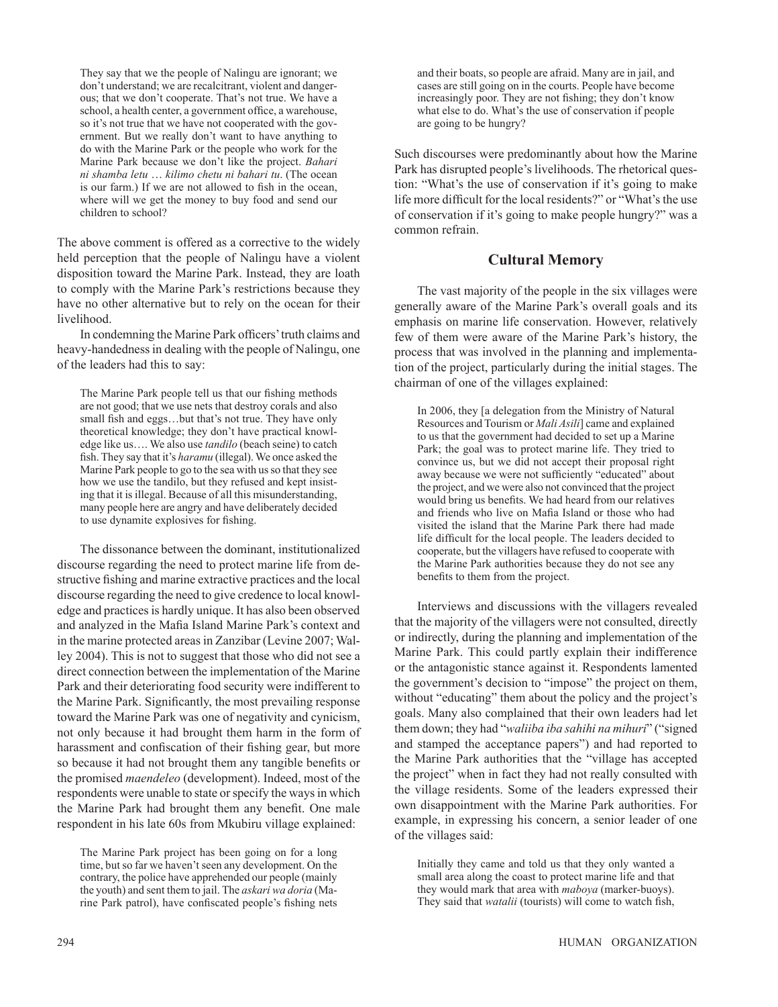They say that we the people of Nalingu are ignorant; we don't understand; we are recalcitrant, violent and dangerous; that we don't cooperate. That's not true. We have a school, a health center, a government office, a warehouse, so it's not true that we have not cooperated with the government. But we really don't want to have anything to do with the Marine Park or the people who work for the Marine Park because we don't like the project. *Bahari ni shamba letu* … *kilimo chetu ni bahari tu*. (The ocean is our farm.) If we are not allowed to fish in the ocean, where will we get the money to buy food and send our children to school?

The above comment is offered as a corrective to the widely held perception that the people of Nalingu have a violent disposition toward the Marine Park. Instead, they are loath to comply with the Marine Park's restrictions because they have no other alternative but to rely on the ocean for their livelihood.

In condemning the Marine Park officers' truth claims and heavy-handedness in dealing with the people of Nalingu, one of the leaders had this to say:

The Marine Park people tell us that our fishing methods are not good; that we use nets that destroy corals and also small fish and eggs…but that's not true. They have only theoretical knowledge; they don't have practical knowledge like us…. We also use *tandilo* (beach seine) to catch fish. They say that it's *haramu* (illegal). We once asked the Marine Park people to go to the sea with us so that they see how we use the tandilo, but they refused and kept insisting that it is illegal. Because of all this misunderstanding, many people here are angry and have deliberately decided to use dynamite explosives for fishing.

The dissonance between the dominant, institutionalized discourse regarding the need to protect marine life from destructive fishing and marine extractive practices and the local discourse regarding the need to give credence to local knowledge and practices is hardly unique. It has also been observed and analyzed in the Mafia Island Marine Park's context and in the marine protected areas in Zanzibar (Levine 2007; Walley 2004). This is not to suggest that those who did not see a direct connection between the implementation of the Marine Park and their deteriorating food security were indifferent to the Marine Park. Significantly, the most prevailing response toward the Marine Park was one of negativity and cynicism, not only because it had brought them harm in the form of harassment and confiscation of their fishing gear, but more so because it had not brought them any tangible benefits or the promised *maendeleo* (development). Indeed, most of the respondents were unable to state or specify the ways in which the Marine Park had brought them any benefit. One male respondent in his late 60s from Mkubiru village explained:

The Marine Park project has been going on for a long time, but so far we haven't seen any development. On the contrary, the police have apprehended our people (mainly the youth) and sent them to jail. The *askari wa doria* (Marine Park patrol), have confiscated people's fishing nets and their boats, so people are afraid. Many are in jail, and cases are still going on in the courts. People have become increasingly poor. They are not fishing; they don't know what else to do. What's the use of conservation if people are going to be hungry?

Such discourses were predominantly about how the Marine Park has disrupted people's livelihoods. The rhetorical question: "What's the use of conservation if it's going to make life more difficult for the local residents?" or "What's the use of conservation if it's going to make people hungry?" was a common refrain.

# **Cultural Memory**

The vast majority of the people in the six villages were generally aware of the Marine Park's overall goals and its emphasis on marine life conservation. However, relatively few of them were aware of the Marine Park's history, the process that was involved in the planning and implementation of the project, particularly during the initial stages. The chairman of one of the villages explained:

In 2006, they [a delegation from the Ministry of Natural Resources and Tourism or *Mali Asili*] came and explained to us that the government had decided to set up a Marine Park; the goal was to protect marine life. They tried to convince us, but we did not accept their proposal right away because we were not sufficiently "educated" about the project, and we were also not convinced that the project would bring us benefits. We had heard from our relatives and friends who live on Mafia Island or those who had visited the island that the Marine Park there had made life difficult for the local people. The leaders decided to cooperate, but the villagers have refused to cooperate with the Marine Park authorities because they do not see any benefits to them from the project.

Interviews and discussions with the villagers revealed that the majority of the villagers were not consulted, directly or indirectly, during the planning and implementation of the Marine Park. This could partly explain their indifference or the antagonistic stance against it. Respondents lamented the government's decision to "impose" the project on them, without "educating" them about the policy and the project's goals. Many also complained that their own leaders had let them down; they had "*waliiba iba sahihi na mihuri*" ("signed and stamped the acceptance papers") and had reported to the Marine Park authorities that the "village has accepted the project" when in fact they had not really consulted with the village residents. Some of the leaders expressed their own disappointment with the Marine Park authorities. For example, in expressing his concern, a senior leader of one of the villages said:

Initially they came and told us that they only wanted a small area along the coast to protect marine life and that they would mark that area with *maboya* (marker-buoys). They said that *watalii* (tourists) will come to watch fish,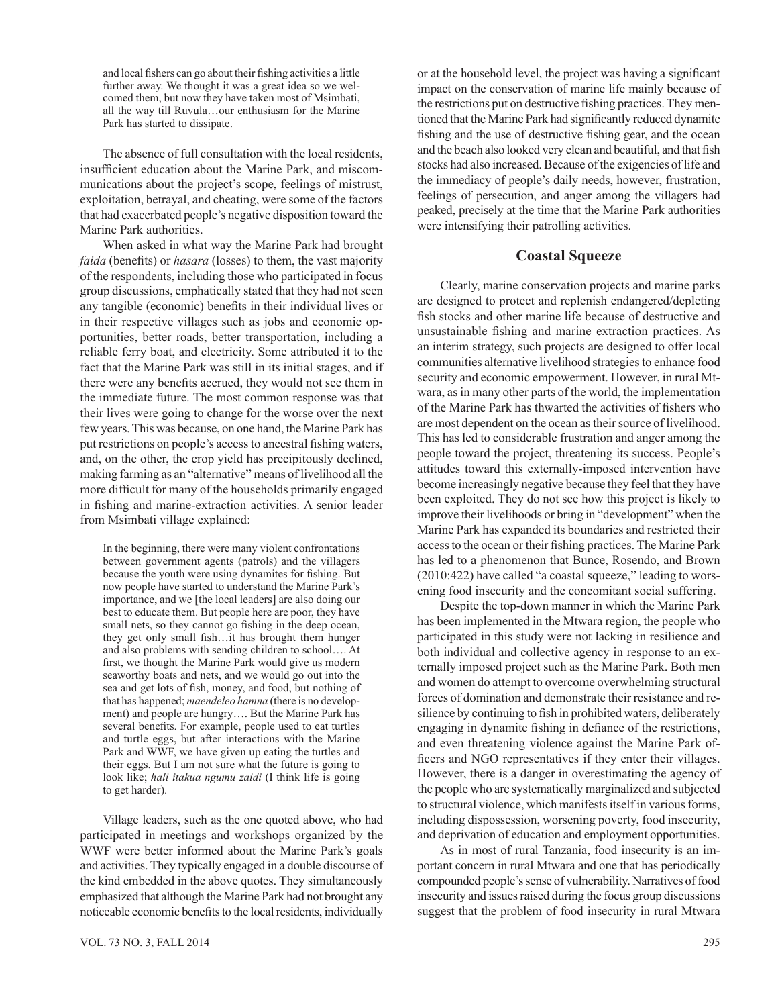and local fishers can go about their fishing activities a little further away. We thought it was a great idea so we welcomed them, but now they have taken most of Msimbati, all the way till Ruvula…our enthusiasm for the Marine Park has started to dissipate.

The absence of full consultation with the local residents, insufficient education about the Marine Park, and miscommunications about the project's scope, feelings of mistrust, exploitation, betrayal, and cheating, were some of the factors that had exacerbated people's negative disposition toward the Marine Park authorities.

When asked in what way the Marine Park had brought *faida* (benefits) or *hasara* (losses) to them, the vast majority of the respondents, including those who participated in focus group discussions, emphatically stated that they had not seen any tangible (economic) benefits in their individual lives or in their respective villages such as jobs and economic opportunities, better roads, better transportation, including a reliable ferry boat, and electricity. Some attributed it to the fact that the Marine Park was still in its initial stages, and if there were any benefits accrued, they would not see them in the immediate future. The most common response was that their lives were going to change for the worse over the next few years. This was because, on one hand, the Marine Park has put restrictions on people's access to ancestral fishing waters, and, on the other, the crop yield has precipitously declined, making farming as an "alternative" means of livelihood all the more difficult for many of the households primarily engaged in fishing and marine-extraction activities. A senior leader from Msimbati village explained:

In the beginning, there were many violent confrontations between government agents (patrols) and the villagers because the youth were using dynamites for fishing. But now people have started to understand the Marine Park's importance, and we [the local leaders] are also doing our best to educate them. But people here are poor, they have small nets, so they cannot go fishing in the deep ocean, they get only small fish…it has brought them hunger and also problems with sending children to school…. At first, we thought the Marine Park would give us modern seaworthy boats and nets, and we would go out into the sea and get lots of fish, money, and food, but nothing of that has happened; *maendeleo hamna* (there is no development) and people are hungry…. But the Marine Park has several benefits. For example, people used to eat turtles and turtle eggs, but after interactions with the Marine Park and WWF, we have given up eating the turtles and their eggs. But I am not sure what the future is going to look like; *hali itakua ngumu zaidi* (I think life is going to get harder).

Village leaders, such as the one quoted above, who had participated in meetings and workshops organized by the WWF were better informed about the Marine Park's goals and activities. They typically engaged in a double discourse of the kind embedded in the above quotes. They simultaneously emphasized that although the Marine Park had not brought any noticeable economic benefits to the local residents, individually or at the household level, the project was having a significant impact on the conservation of marine life mainly because of the restrictions put on destructive fishing practices. They mentioned that the Marine Park had significantly reduced dynamite fishing and the use of destructive fishing gear, and the ocean and the beach also looked very clean and beautiful, and that fish stocks had also increased. Because of the exigencies of life and the immediacy of people's daily needs, however, frustration, feelings of persecution, and anger among the villagers had peaked, precisely at the time that the Marine Park authorities were intensifying their patrolling activities.

#### **Coastal Squeeze**

Clearly, marine conservation projects and marine parks are designed to protect and replenish endangered/depleting fish stocks and other marine life because of destructive and unsustainable fishing and marine extraction practices. As an interim strategy, such projects are designed to offer local communities alternative livelihood strategies to enhance food security and economic empowerment. However, in rural Mtwara, as in many other parts of the world, the implementation of the Marine Park has thwarted the activities of fishers who are most dependent on the ocean as their source of livelihood. This has led to considerable frustration and anger among the people toward the project, threatening its success. People's attitudes toward this externally-imposed intervention have become increasingly negative because they feel that they have been exploited. They do not see how this project is likely to improve their livelihoods or bring in "development" when the Marine Park has expanded its boundaries and restricted their access to the ocean or their fishing practices. The Marine Park has led to a phenomenon that Bunce, Rosendo, and Brown (2010:422) have called "a coastal squeeze," leading to worsening food insecurity and the concomitant social suffering.

Despite the top-down manner in which the Marine Park has been implemented in the Mtwara region, the people who participated in this study were not lacking in resilience and both individual and collective agency in response to an externally imposed project such as the Marine Park. Both men and women do attempt to overcome overwhelming structural forces of domination and demonstrate their resistance and resilience by continuing to fish in prohibited waters, deliberately engaging in dynamite fishing in defiance of the restrictions, and even threatening violence against the Marine Park officers and NGO representatives if they enter their villages. However, there is a danger in overestimating the agency of the people who are systematically marginalized and subjected to structural violence, which manifests itself in various forms, including dispossession, worsening poverty, food insecurity, and deprivation of education and employment opportunities.

As in most of rural Tanzania, food insecurity is an important concern in rural Mtwara and one that has periodically compounded people's sense of vulnerability. Narratives of food insecurity and issues raised during the focus group discussions suggest that the problem of food insecurity in rural Mtwara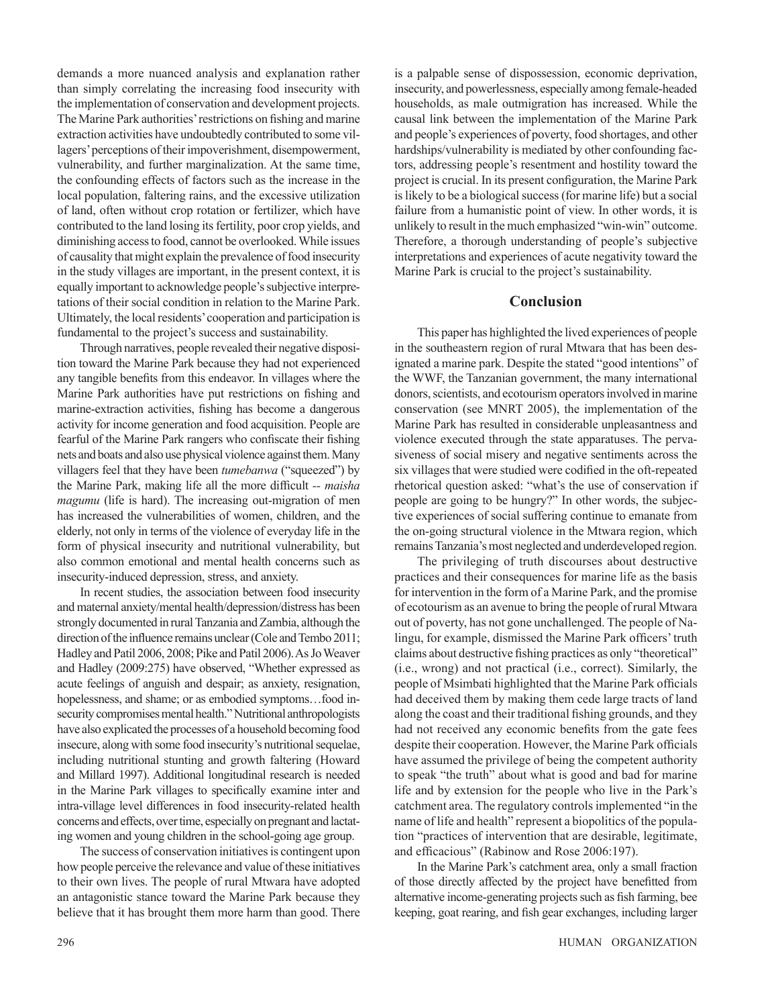demands a more nuanced analysis and explanation rather than simply correlating the increasing food insecurity with the implementation of conservation and development projects. The Marine Park authorities' restrictions on fishing and marine extraction activities have undoubtedly contributed to some villagers' perceptions of their impoverishment, disempowerment, vulnerability, and further marginalization. At the same time, the confounding effects of factors such as the increase in the local population, faltering rains, and the excessive utilization of land, often without crop rotation or fertilizer, which have contributed to the land losing its fertility, poor crop yields, and diminishing access to food, cannot be overlooked. While issues of causality that might explain the prevalence of food insecurity in the study villages are important, in the present context, it is equally important to acknowledge people's subjective interpretations of their social condition in relation to the Marine Park. Ultimately, the local residents' cooperation and participation is fundamental to the project's success and sustainability.

Through narratives, people revealed their negative disposition toward the Marine Park because they had not experienced any tangible benefits from this endeavor. In villages where the Marine Park authorities have put restrictions on fishing and marine-extraction activities, fishing has become a dangerous activity for income generation and food acquisition. People are fearful of the Marine Park rangers who confiscate their fishing nets and boats and also use physical violence against them. Many villagers feel that they have been *tumebanwa* ("squeezed") by the Marine Park, making life all the more difficult *-- maisha magumu* (life is hard). The increasing out-migration of men has increased the vulnerabilities of women, children, and the elderly, not only in terms of the violence of everyday life in the form of physical insecurity and nutritional vulnerability, but also common emotional and mental health concerns such as insecurity-induced depression, stress, and anxiety.

In recent studies, the association between food insecurity and maternal anxiety/mental health/depression/distress has been strongly documented in rural Tanzania and Zambia, although the direction of the influence remains unclear (Cole and Tembo 2011; Hadley and Patil 2006, 2008; Pike and Patil 2006). As Jo Weaver and Hadley (2009:275) have observed, "Whether expressed as acute feelings of anguish and despair; as anxiety, resignation, hopelessness, and shame; or as embodied symptoms...food insecurity compromises mental health." Nutritional anthropologists have also explicated the processes of a household becoming food insecure, along with some food insecurity's nutritional sequelae, including nutritional stunting and growth faltering (Howard and Millard 1997). Additional longitudinal research is needed in the Marine Park villages to specifically examine inter and intra-village level differences in food insecurity-related health concerns and effects, over time, especially on pregnant and lactating women and young children in the school-going age group.

The success of conservation initiatives is contingent upon how people perceive the relevance and value of these initiatives to their own lives. The people of rural Mtwara have adopted an antagonistic stance toward the Marine Park because they believe that it has brought them more harm than good. There is a palpable sense of dispossession, economic deprivation, insecurity, and powerlessness, especially among female-headed households, as male outmigration has increased. While the causal link between the implementation of the Marine Park and people's experiences of poverty, food shortages, and other hardships/vulnerability is mediated by other confounding factors, addressing people's resentment and hostility toward the project is crucial. In its present configuration, the Marine Park is likely to be a biological success (for marine life) but a social failure from a humanistic point of view. In other words, it is unlikely to result in the much emphasized "win-win" outcome. Therefore, a thorough understanding of people's subjective interpretations and experiences of acute negativity toward the Marine Park is crucial to the project's sustainability.

### **Conclusion**

This paper has highlighted the lived experiences of people in the southeastern region of rural Mtwara that has been designated a marine park. Despite the stated "good intentions" of the WWF, the Tanzanian government, the many international donors, scientists, and ecotourism operators involved in marine conservation (see MNRT 2005), the implementation of the Marine Park has resulted in considerable unpleasantness and violence executed through the state apparatuses. The pervasiveness of social misery and negative sentiments across the six villages that were studied were codified in the oft-repeated rhetorical question asked: "what's the use of conservation if people are going to be hungry?" In other words, the subjective experiences of social suffering continue to emanate from the on-going structural violence in the Mtwara region, which remains Tanzania's most neglected and underdeveloped region.

The privileging of truth discourses about destructive practices and their consequences for marine life as the basis for intervention in the form of a Marine Park, and the promise of ecotourism as an avenue to bring the people of rural Mtwara out of poverty, has not gone unchallenged. The people of Nalingu, for example, dismissed the Marine Park officers' truth claims about destructive fishing practices as only "theoretical" (i.e., wrong) and not practical (i.e., correct). Similarly, the people of Msimbati highlighted that the Marine Park officials had deceived them by making them cede large tracts of land along the coast and their traditional fishing grounds, and they had not received any economic benefits from the gate fees despite their cooperation. However, the Marine Park officials have assumed the privilege of being the competent authority to speak "the truth" about what is good and bad for marine life and by extension for the people who live in the Park's catchment area. The regulatory controls implemented "in the name of life and health" represent a biopolitics of the population "practices of intervention that are desirable, legitimate, and efficacious" (Rabinow and Rose 2006:197).

In the Marine Park's catchment area, only a small fraction of those directly affected by the project have benefitted from alternative income-generating projects such as fish farming, bee keeping, goat rearing, and fish gear exchanges, including larger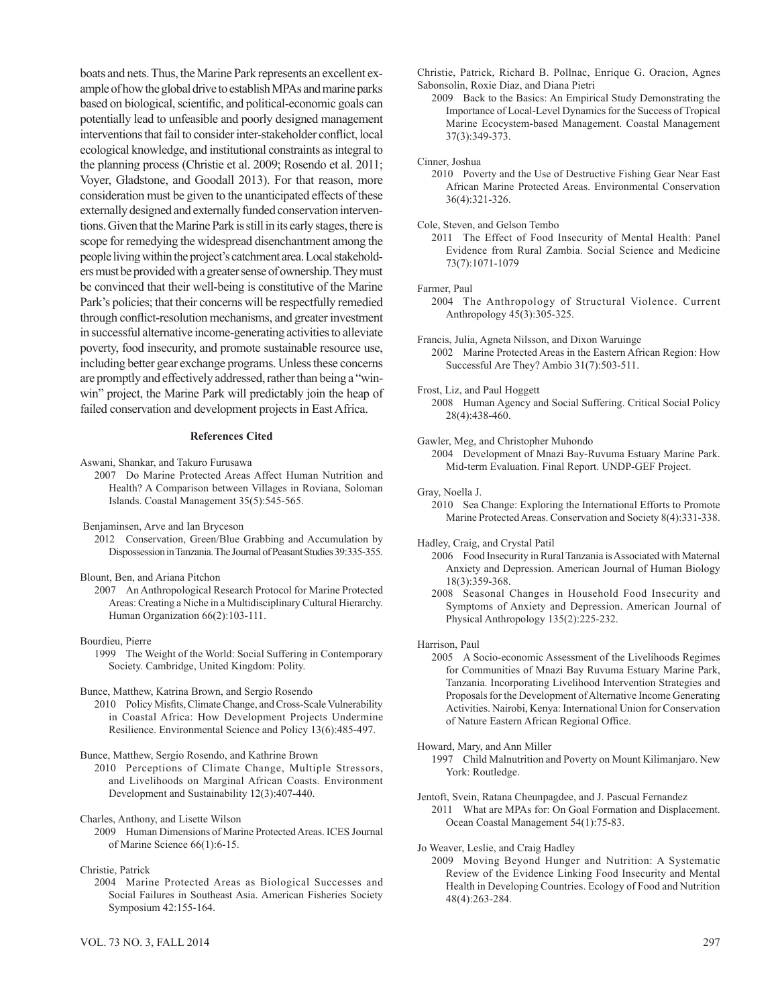boats and nets. Thus, the Marine Park represents an excellent example of how the global drive to establish MPAs and marine parks based on biological, scientific, and political-economic goals can potentially lead to unfeasible and poorly designed management interventions that fail to consider inter-stakeholder conflict, local ecological knowledge, and institutional constraints as integral to the planning process (Christie et al. 2009; Rosendo et al. 2011; Voyer, Gladstone, and Goodall 2013). For that reason, more consideration must be given to the unanticipated effects of these externally designed and externally funded conservation interventions. Given that the Marine Park is still in its early stages, there is scope for remedying the widespread disenchantment among the people living within the project's catchment area. Local stakeholders must be provided with a greater sense of ownership. They must be convinced that their well-being is constitutive of the Marine Park's policies; that their concerns will be respectfully remedied through conflict-resolution mechanisms, and greater investment in successful alternative income-generating activities to alleviate poverty, food insecurity, and promote sustainable resource use, including better gear exchange programs. Unless these concerns are promptly and effectively addressed, rather than being a "winwin" project, the Marine Park will predictably join the heap of failed conservation and development projects in East Africa.

#### **References Cited**

- Aswani, Shankar, and Takuro Furusawa
	- 2007 Do Marine Protected Areas Affect Human Nutrition and Health? A Comparison between Villages in Roviana, Soloman Islands. Coastal Management 35(5):545-565.

Benjaminsen, Arve and Ian Bryceson

2012 Conservation, Green/Blue Grabbing and Accumulation by Dispossession in Tanzania. The Journal of Peasant Studies39:335-355.

Blount, Ben, and Ariana Pitchon

2007 An Anthropological Research Protocol for Marine Protected Areas: Creating a Niche in a Multidisciplinary Cultural Hierarchy. Human Organization 66(2):103-111.

Bourdieu, Pierre

1999 The Weight of the World: Social Suffering in Contemporary Society. Cambridge, United Kingdom: Polity.

Bunce, Matthew, Katrina Brown, and Sergio Rosendo

2010 Policy Misfits, Climate Change, and Cross-Scale Vulnerability in Coastal Africa: How Development Projects Undermine Resilience. Environmental Science and Policy 13(6):485-497.

Bunce, Matthew, Sergio Rosendo, and Kathrine Brown

2010 Perceptions of Climate Change, Multiple Stressors, and Livelihoods on Marginal African Coasts. Environment Development and Sustainability 12(3):407-440.

Charles, Anthony, and Lisette Wilson

2009 Human Dimensions of Marine Protected Areas. ICES Journal of Marine Science 66(1):6-15.

#### Christie, Patrick

2004 Marine Protected Areas as Biological Successes and Social Failures in Southeast Asia. American Fisheries Society Symposium 42:155-164.

Christie, Patrick, Richard B. Pollnac, Enrique G. Oracion, Agnes Sabonsolin, Roxie Diaz, and Diana Pietri

2009 Back to the Basics: An Empirical Study Demonstrating the Importance of Local-Level Dynamics for the Success of Tropical Marine Ecocystem-based Management. Coastal Management 37(3):349-373.

Cinner, Joshua

2010 Poverty and the Use of Destructive Fishing Gear Near East African Marine Protected Areas. Environmental Conservation 36(4):321-326.

Cole, Steven, and Gelson Tembo

2011 The Effect of Food Insecurity of Mental Health: Panel Evidence from Rural Zambia. Social Science and Medicine 73(7):1071-1079

Farmer, Paul

- 2004 The Anthropology of Structural Violence. Current Anthropology 45(3):305-325.
- Francis, Julia, Agneta Nilsson, and Dixon Waruinge 2002 Marine Protected Areas in the Eastern African Region: How Successful Are They? Ambio 31(7):503-511.
- Frost, Liz, and Paul Hoggett

2008 Human Agency and Social Suffering. Critical Social Policy 28(4):438-460.

Gawler, Meg, and Christopher Muhondo

2004 Development of Mnazi Bay-Ruvuma Estuary Marine Park. Mid-term Evaluation. Final Report. UNDP-GEF Project.

- Gray, Noella J.
	- 2010 Sea Change: Exploring the International Efforts to Promote Marine Protected Areas. Conservation and Society 8(4):331-338.

Hadley, Craig, and Crystal Patil

- 2006 Food Insecurity in Rural Tanzania is Associated with Maternal Anxiety and Depression. American Journal of Human Biology 18(3):359-368.
- 2008 Seasonal Changes in Household Food Insecurity and Symptoms of Anxiety and Depression. American Journal of Physical Anthropology 135(2):225-232.
- Harrison, Paul
	- 2005 A Socio-economic Assessment of the Livelihoods Regimes for Communities of Mnazi Bay Ruvuma Estuary Marine Park, Tanzania. Incorporating Livelihood Intervention Strategies and Proposals for the Development of Alternative Income Generating Activities. Nairobi, Kenya: International Union for Conservation of Nature Eastern African Regional Office.

Howard, Mary, and Ann Miller

- 1997 Child Malnutrition and Poverty on Mount Kilimanjaro. New York: Routledge.
- Jentoft, Svein, Ratana Cheunpagdee, and J. Pascual Fernandez

2011 What are MPAs for: On Goal Formation and Displacement. Ocean Coastal Management 54(1):75-83.

#### Jo Weaver, Leslie, and Craig Hadley

2009 Moving Beyond Hunger and Nutrition: A Systematic Review of the Evidence Linking Food Insecurity and Mental Health in Developing Countries. Ecology of Food and Nutrition 48(4):263-284.